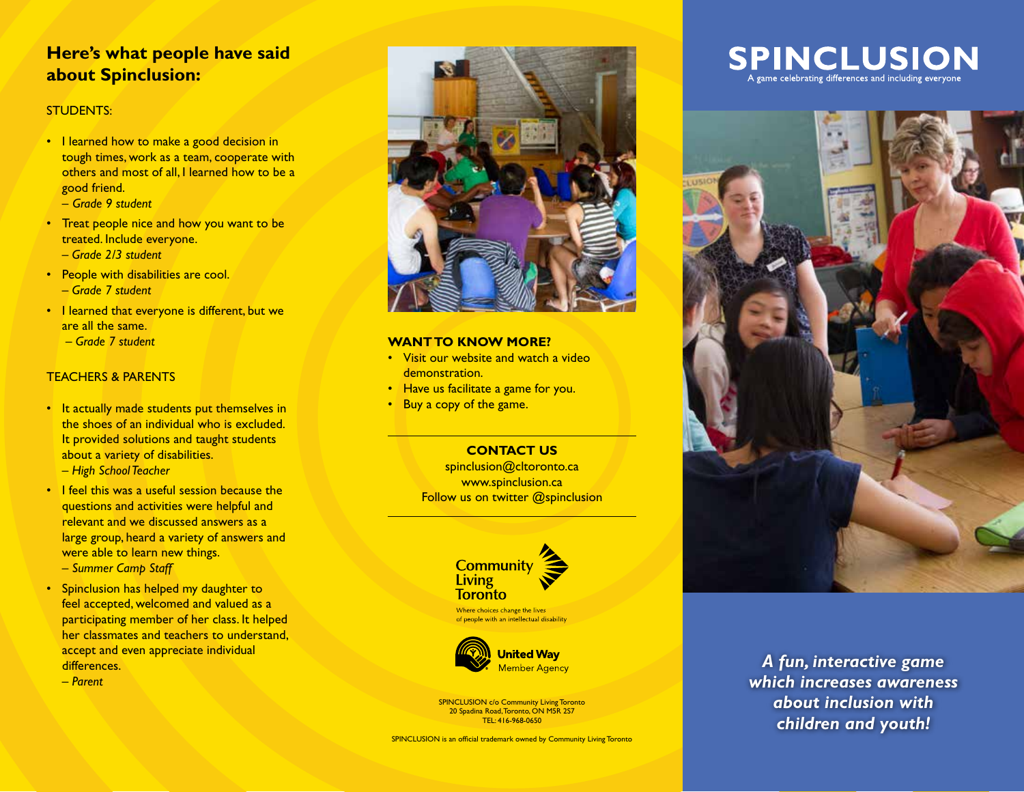### **Here's what people have said about Spinclusion:**

#### STUDENTS:

- I learned how to make a good decision in tough times, work as a team, cooperate with others and most of all, I learned how to be a good friend.
	- *Grade 9 student*
- Treat people nice and how you want to be treated. Include everyone.
	- *Grade 2/3 student*
- People with disabilities are cool. – *Grade 7 student*
- I learned that everyone is different, but we are all the same.
	- *Grade 7 student*

#### TEACHERS & PARENTS

- It actually made students put themselves in the shoes of an individual who is excluded. It provided solutions and taught students about a variety of disabilities. – *High School Teacher*
- I feel this was a useful session because the questions and activities were helpful and relevant and we discussed answers as a large group, heard a variety of answers and were able to learn new things. – *Summer Camp Staff*
- Spinclusion has helped my daughter to feel accepted, welcomed and valued as a participating member of her class. It helped her classmates and teachers to understand, accept and even appreciate individual differences.
	- *Parent*



#### **WANT TO KNOW MORE?**

- Visit our website and watch a video demonstration
- Have us facilitate a game for you.
- Buy a copy of the game.

**CONTACT US** spinclusion@cltoronto.ca www.spinclusion.ca Follow us on twitter @spinclusion



of people with an intellectual disability



SPINCLUSION c/o Community Living Toronto 20 Spadina Road, Toronto, ON M5R 2S7 TEL: 416-968-0650

SPINCLUSION is an official trademark owned by Community Living Toronto

**SPINCLUSION** A game celebrating differences and including everyone



*A fun, interactive game which increases awareness about inclusion with children and youth!*